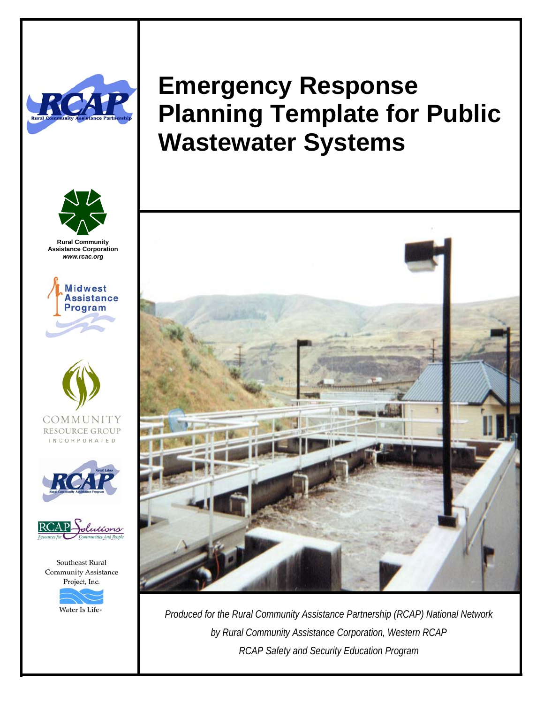



**Rural Community Assistance Corporation**  *www.rcac.org* 









Southeast Rural **Community Assistance** Project, Inc.



# **Emergency Response Planning Template for Public Wastewater Systems**



*Produced for the Rural Community Assistance Partnership (RCAP) National Network by Rural Community Assistance Corporation, Western RCAP RCAP Safety and Security Education Program*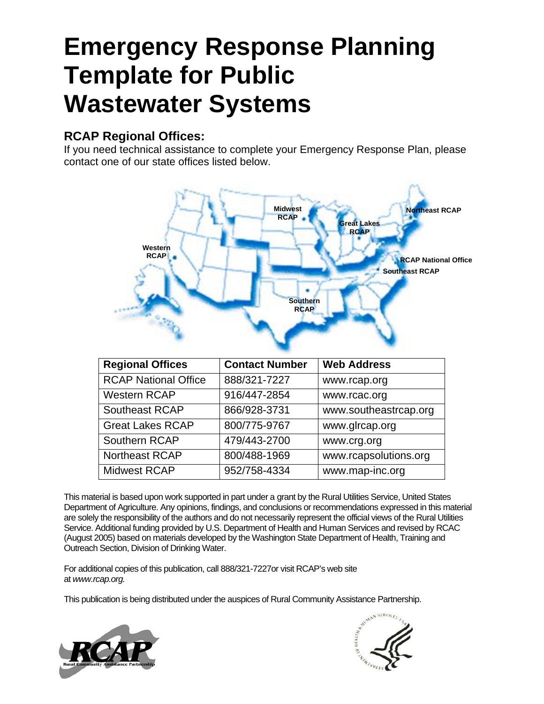# **Emergency Response Planning Template for Public Wastewater Systems**

## **RCAP Regional Offices:**

If you need technical assistance to complete your Emergency Response Plan, please contact one of our state offices listed below.



| nggiunai Uniu <del>c</del> o | <b>UUIILAUL ITUIIIIUUI</b> | NGN WANGOO            |
|------------------------------|----------------------------|-----------------------|
| <b>RCAP National Office</b>  | 888/321-7227               | www.rcap.org          |
| <b>Western RCAP</b>          | 916/447-2854               | www.rcac.org          |
| Southeast RCAP               | 866/928-3731               | www.southeastrcap.org |
| <b>Great Lakes RCAP</b>      | 800/775-9767               | www.glrcap.org        |
| Southern RCAP                | 479/443-2700               | www.crg.org           |
| <b>Northeast RCAP</b>        | 800/488-1969               | www.rcapsolutions.org |
| <b>Midwest RCAP</b>          | 952/758-4334               | www.map-inc.org       |

This material is based upon work supported in part under a grant by the Rural Utilities Service, United States Department of Agriculture. Any opinions, findings, and conclusions or recommendations expressed in this material are solely the responsibility of the authors and do not necessarily represent the official views of the Rural Utilities Service. Additional funding provided by U.S. Department of Health and Human Services and revised by RCAC (August 2005) based on materials developed by the Washington State Department of Health, Training and Outreach Section, Division of Drinking Water.

For additional copies of this publication, call 888/321-7227or visit RCAP's web site at *www.rcap.org.*

This publication is being distributed under the auspices of Rural Community Assistance Partnership.



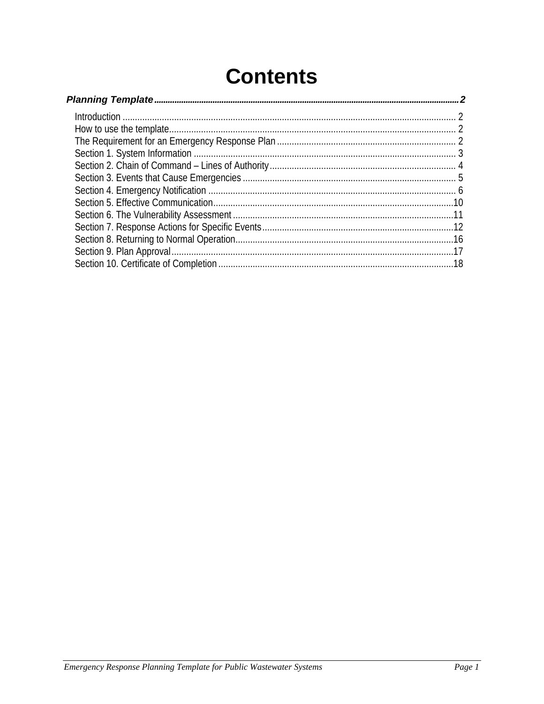# **Contents**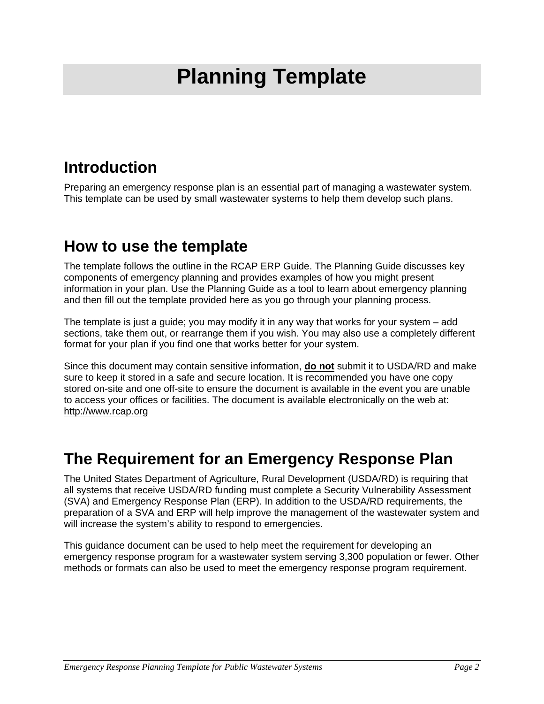# **Planning Template**

# **Introduction**

Preparing an emergency response plan is an essential part of managing a wastewater system. This template can be used by small wastewater systems to help them develop such plans.

## **How to use the template**

The template follows the outline in the RCAP ERP Guide. The Planning Guide discusses key components of emergency planning and provides examples of how you might present information in your plan. Use the Planning Guide as a tool to learn about emergency planning and then fill out the template provided here as you go through your planning process.

The template is just a guide; you may modify it in any way that works for your system – add sections, take them out, or rearrange them if you wish. You may also use a completely different format for your plan if you find one that works better for your system.

Since this document may contain sensitive information, **do not** submit it to USDA/RD and make sure to keep it stored in a safe and secure location. It is recommended you have one copy stored on-site and one off-site to ensure the document is available in the event you are unable to access your offices or facilities. The document is available electronically on the web at: http://www.rcap.org

## **The Requirement for an Emergency Response Plan**

The United States Department of Agriculture, Rural Development (USDA/RD) is requiring that all systems that receive USDA/RD funding must complete a Security Vulnerability Assessment (SVA) and Emergency Response Plan (ERP). In addition to the USDA/RD requirements, the preparation of a SVA and ERP will help improve the management of the wastewater system and will increase the system's ability to respond to emergencies.

This guidance document can be used to help meet the requirement for developing an emergency response program for a wastewater system serving 3,300 population or fewer. Other methods or formats can also be used to meet the emergency response program requirement.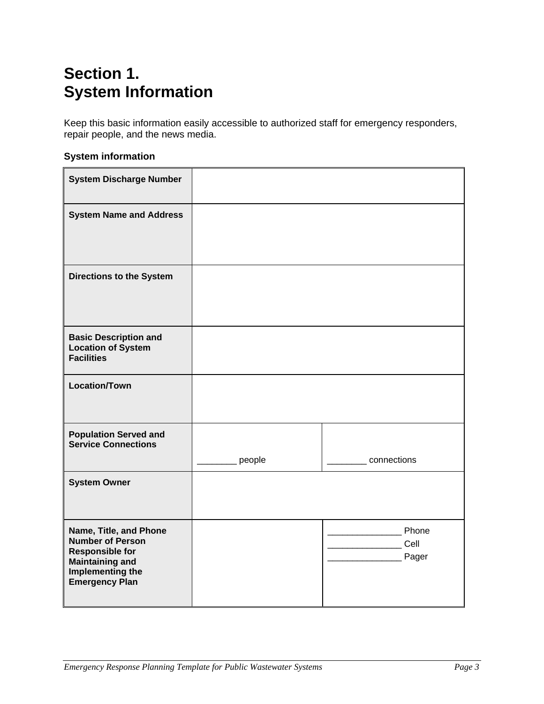# **Section 1. System Information**

Keep this basic information easily accessible to authorized staff for emergency responders, repair people, and the news media.

#### **System information**

| <b>System Discharge Number</b>                                                                                                                     |        |                          |
|----------------------------------------------------------------------------------------------------------------------------------------------------|--------|--------------------------|
| <b>System Name and Address</b>                                                                                                                     |        |                          |
| <b>Directions to the System</b>                                                                                                                    |        |                          |
| <b>Basic Description and</b><br><b>Location of System</b><br><b>Facilities</b>                                                                     |        |                          |
| Location/Town                                                                                                                                      |        |                          |
| <b>Population Served and</b><br><b>Service Connections</b>                                                                                         | people | connections              |
| <b>System Owner</b>                                                                                                                                |        |                          |
| Name, Title, and Phone<br><b>Number of Person</b><br><b>Responsible for</b><br><b>Maintaining and</b><br>Implementing the<br><b>Emergency Plan</b> |        | Phone<br>Cell<br>_ Pager |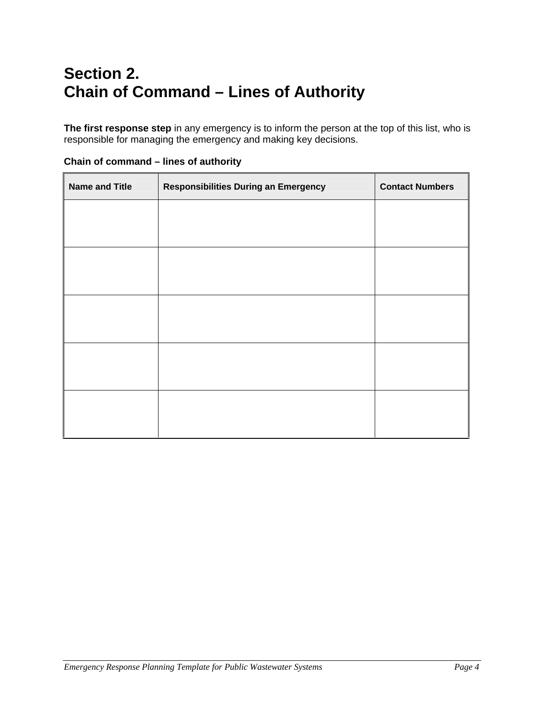# **Section 2. Chain of Command – Lines of Authority**

**The first response step** in any emergency is to inform the person at the top of this list, who is responsible for managing the emergency and making key decisions.

| <b>Name and Title</b> | <b>Responsibilities During an Emergency</b> | <b>Contact Numbers</b> |
|-----------------------|---------------------------------------------|------------------------|
|                       |                                             |                        |
|                       |                                             |                        |
|                       |                                             |                        |
|                       |                                             |                        |
|                       |                                             |                        |
|                       |                                             |                        |
|                       |                                             |                        |
|                       |                                             |                        |
|                       |                                             |                        |
|                       |                                             |                        |

#### **Chain of command – lines of authority**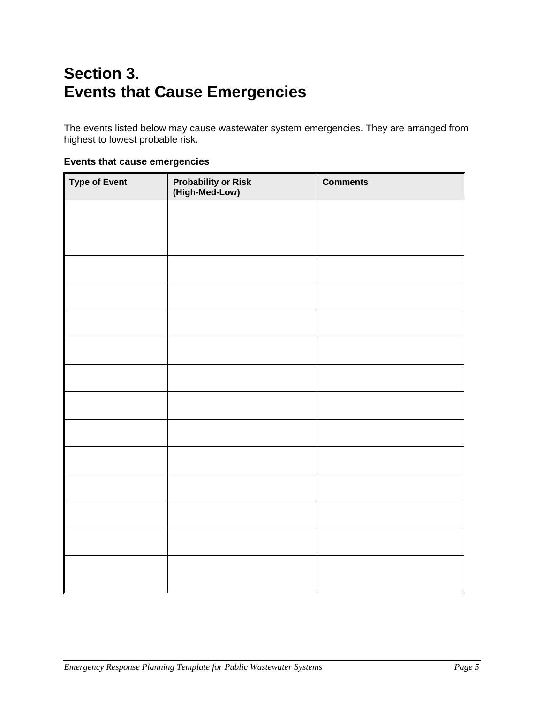# **Section 3. Events that Cause Emergencies**

The events listed below may cause wastewater system emergencies. They are arranged from highest to lowest probable risk.

#### **Events that cause emergencies**

| <b>Type of Event</b> | <b>Probability or Risk</b><br>(High-Med-Low) | <b>Comments</b> |
|----------------------|----------------------------------------------|-----------------|
|                      |                                              |                 |
|                      |                                              |                 |
|                      |                                              |                 |
|                      |                                              |                 |
|                      |                                              |                 |
|                      |                                              |                 |
|                      |                                              |                 |
|                      |                                              |                 |
|                      |                                              |                 |
|                      |                                              |                 |
|                      |                                              |                 |
|                      |                                              |                 |
|                      |                                              |                 |
|                      |                                              |                 |
|                      |                                              |                 |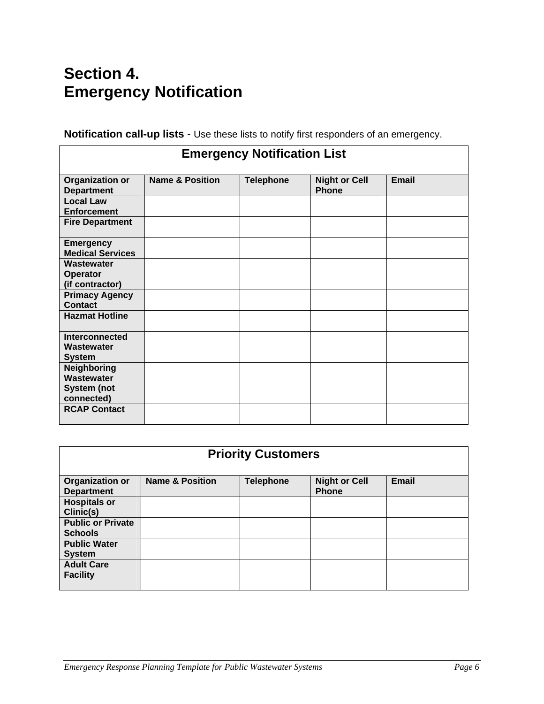# **Section 4. Emergency Notification**

**Notification call-up lists** - Use these lists to notify first responders of an emergency.

| <b>Emergency Notification List</b>                            |                            |                  |                                      |              |
|---------------------------------------------------------------|----------------------------|------------------|--------------------------------------|--------------|
| <b>Organization or</b><br><b>Department</b>                   | <b>Name &amp; Position</b> | <b>Telephone</b> | <b>Night or Cell</b><br><b>Phone</b> | <b>Email</b> |
| <b>Local Law</b><br><b>Enforcement</b>                        |                            |                  |                                      |              |
| <b>Fire Department</b>                                        |                            |                  |                                      |              |
| <b>Emergency</b><br><b>Medical Services</b>                   |                            |                  |                                      |              |
| Wastewater<br>Operator<br>(if contractor)                     |                            |                  |                                      |              |
| <b>Primacy Agency</b><br><b>Contact</b>                       |                            |                  |                                      |              |
| <b>Hazmat Hotline</b>                                         |                            |                  |                                      |              |
| Interconnected<br>Wastewater<br><b>System</b>                 |                            |                  |                                      |              |
| Neighboring<br>Wastewater<br><b>System (not</b><br>connected) |                            |                  |                                      |              |
| <b>RCAP Contact</b>                                           |                            |                  |                                      |              |

| <b>Priority Customers</b>                  |                            |                  |                                      |              |
|--------------------------------------------|----------------------------|------------------|--------------------------------------|--------------|
| Organization or<br><b>Department</b>       | <b>Name &amp; Position</b> | <b>Telephone</b> | <b>Night or Cell</b><br><b>Phone</b> | <b>Email</b> |
| <b>Hospitals or</b><br>Clinic(s)           |                            |                  |                                      |              |
| <b>Public or Private</b><br><b>Schools</b> |                            |                  |                                      |              |
| <b>Public Water</b><br><b>System</b>       |                            |                  |                                      |              |
| <b>Adult Care</b><br><b>Facility</b>       |                            |                  |                                      |              |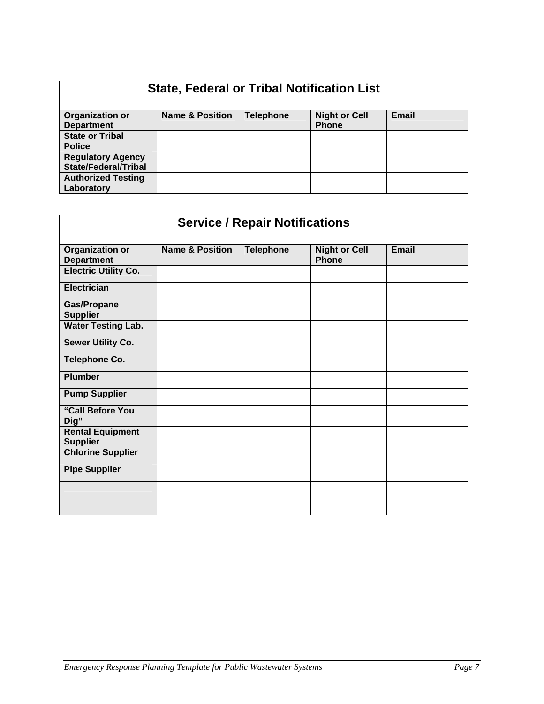|                             | <b>State, Federal or Tribal Notification List</b> |                  |                      |       |
|-----------------------------|---------------------------------------------------|------------------|----------------------|-------|
| Organization or             | <b>Name &amp; Position</b>                        | <b>Telephone</b> | <b>Night or Cell</b> | Email |
| <b>Department</b>           |                                                   |                  | <b>Phone</b>         |       |
| <b>State or Tribal</b>      |                                                   |                  |                      |       |
| <b>Police</b>               |                                                   |                  |                      |       |
| <b>Regulatory Agency</b>    |                                                   |                  |                      |       |
| <b>State/Federal/Tribal</b> |                                                   |                  |                      |       |
| <b>Authorized Testing</b>   |                                                   |                  |                      |       |
| Laboratory                  |                                                   |                  |                      |       |

|                                             |                            | <b>Service / Repair Notifications</b> |                                      |              |
|---------------------------------------------|----------------------------|---------------------------------------|--------------------------------------|--------------|
| <b>Organization or</b><br><b>Department</b> | <b>Name &amp; Position</b> | <b>Telephone</b>                      | <b>Night or Cell</b><br><b>Phone</b> | <b>Email</b> |
| <b>Electric Utility Co.</b>                 |                            |                                       |                                      |              |
| <b>Electrician</b>                          |                            |                                       |                                      |              |
| <b>Gas/Propane</b>                          |                            |                                       |                                      |              |
| <b>Supplier</b>                             |                            |                                       |                                      |              |
| <b>Water Testing Lab.</b>                   |                            |                                       |                                      |              |
| Sewer Utility Co.                           |                            |                                       |                                      |              |
| <b>Telephone Co.</b>                        |                            |                                       |                                      |              |
| <b>Plumber</b>                              |                            |                                       |                                      |              |
| <b>Pump Supplier</b>                        |                            |                                       |                                      |              |
| "Call Before You<br>Dig"                    |                            |                                       |                                      |              |
| <b>Rental Equipment</b><br><b>Supplier</b>  |                            |                                       |                                      |              |
| <b>Chlorine Supplier</b>                    |                            |                                       |                                      |              |
| <b>Pipe Supplier</b>                        |                            |                                       |                                      |              |
|                                             |                            |                                       |                                      |              |
|                                             |                            |                                       |                                      |              |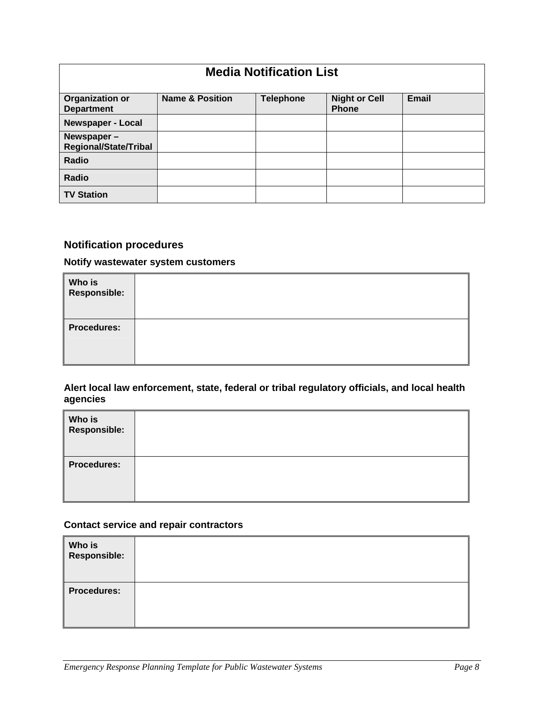|                                             |                            | <b>Media Notification List</b> |                                      |              |
|---------------------------------------------|----------------------------|--------------------------------|--------------------------------------|--------------|
| Organization or<br><b>Department</b>        | <b>Name &amp; Position</b> | <b>Telephone</b>               | <b>Night or Cell</b><br><b>Phone</b> | <b>Email</b> |
| <b>Newspaper - Local</b>                    |                            |                                |                                      |              |
| Newspaper -<br><b>Regional/State/Tribal</b> |                            |                                |                                      |              |
| Radio                                       |                            |                                |                                      |              |
| Radio                                       |                            |                                |                                      |              |
| <b>TV Station</b>                           |                            |                                |                                      |              |

#### **Notification procedures**

#### **Notify wastewater system customers**

| Who is<br>Responsible: |  |
|------------------------|--|
| <b>Procedures:</b>     |  |

#### **Alert local law enforcement, state, federal or tribal regulatory officials, and local health agencies**

| Who is<br>Responsible: |  |
|------------------------|--|
| <b>Procedures:</b>     |  |

### **Contact service and repair contractors**

| Who is<br>Responsible: |  |
|------------------------|--|
| <b>Procedures:</b>     |  |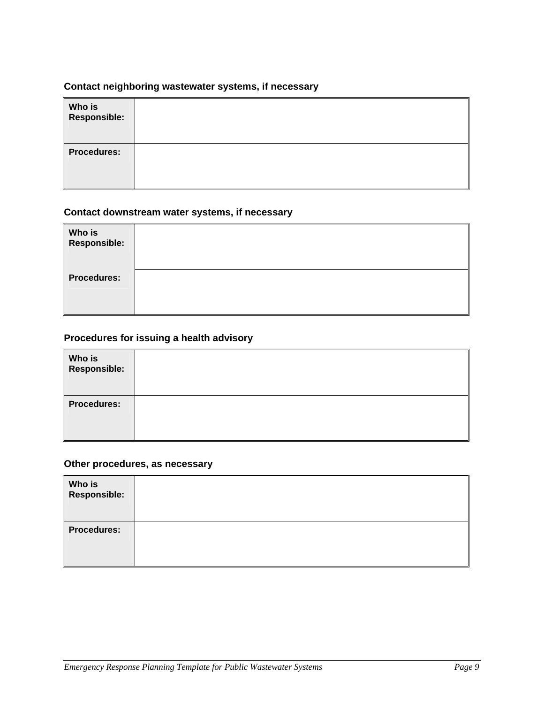### **Contact neighboring wastewater systems, if necessary**

| Who is<br>Responsible: |  |
|------------------------|--|
| <b>Procedures:</b>     |  |

### **Contact downstream water systems, if necessary**

| Who is<br><b>Responsible:</b> |  |
|-------------------------------|--|
| <b>Procedures:</b>            |  |

#### **Procedures for issuing a health advisory**

| Who is<br><b>Responsible:</b> |  |
|-------------------------------|--|
| <b>Procedures:</b>            |  |

#### **Other procedures, as necessary**

| Who is<br>Responsible: |  |
|------------------------|--|
| <b>Procedures:</b>     |  |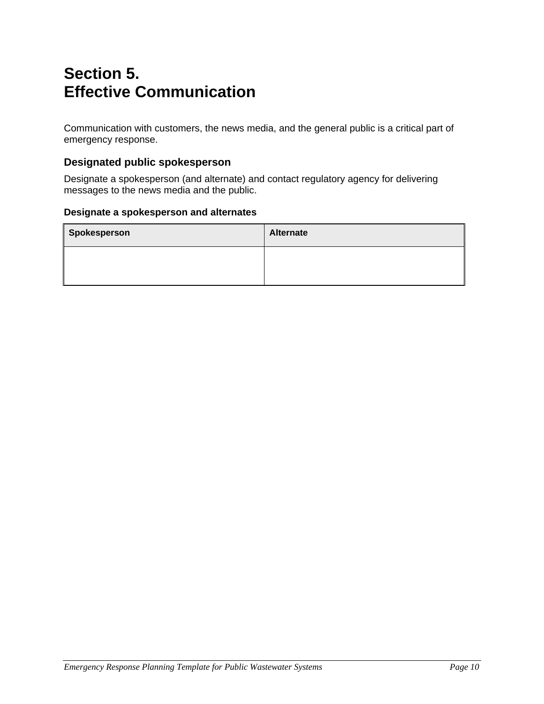# **Section 5. Effective Communication**

Communication with customers, the news media, and the general public is a critical part of emergency response.

#### **Designated public spokesperson**

Designate a spokesperson (and alternate) and contact regulatory agency for delivering messages to the news media and the public.

#### **Designate a spokesperson and alternates**

| Spokesperson | <b>Alternate</b> |
|--------------|------------------|
|              |                  |
|              |                  |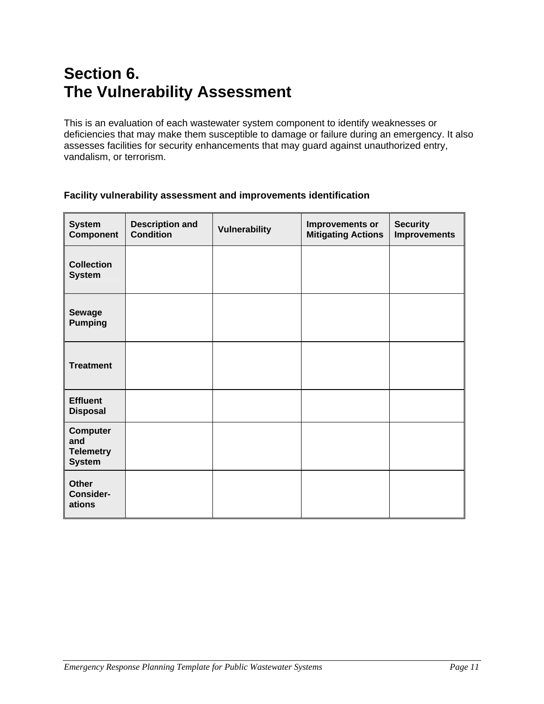# **Section 6. The Vulnerability Assessment**

This is an evaluation of each wastewater system component to identify weaknesses or deficiencies that may make them susceptible to damage or failure during an emergency. It also assesses facilities for security enhancements that may guard against unauthorized entry, vandalism, or terrorism.

#### **Facility vulnerability assessment and improvements identification**

| <b>System</b><br><b>Component</b>                           | <b>Description and</b><br><b>Condition</b> | <b>Vulnerability</b> | Improvements or<br><b>Mitigating Actions</b> | <b>Security</b><br><b>Improvements</b> |
|-------------------------------------------------------------|--------------------------------------------|----------------------|----------------------------------------------|----------------------------------------|
| <b>Collection</b><br><b>System</b>                          |                                            |                      |                                              |                                        |
| <b>Sewage</b><br><b>Pumping</b>                             |                                            |                      |                                              |                                        |
| <b>Treatment</b>                                            |                                            |                      |                                              |                                        |
| <b>Effluent</b><br><b>Disposal</b>                          |                                            |                      |                                              |                                        |
| <b>Computer</b><br>and<br><b>Telemetry</b><br><b>System</b> |                                            |                      |                                              |                                        |
| <b>Other</b><br>Consider-<br>ations                         |                                            |                      |                                              |                                        |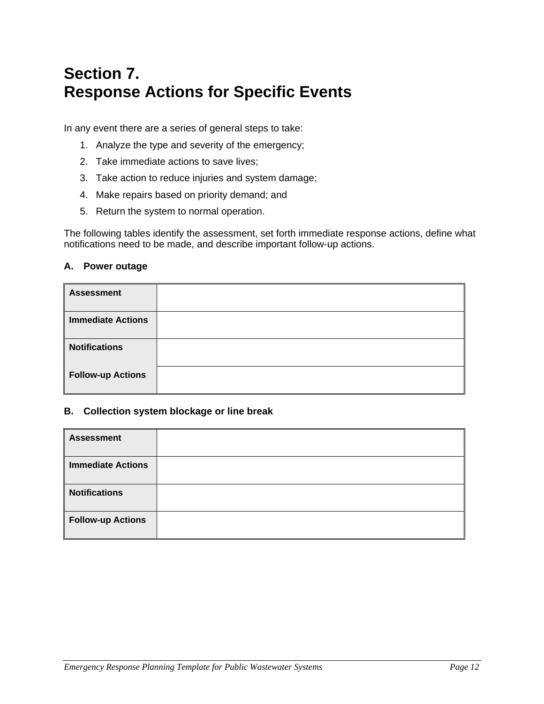# **Section 7. Response Actions for Specific Events**

In any event there are a series of general steps to take:

- 1. Analyze the type and severity of the emergency;
- 2. Take immediate actions to save lives;
- 3. Take action to reduce injuries and system damage;
- 4. Make repairs based on priority demand; and
- 5. Return the system to normal operation.

The following tables identify the assessment, set forth immediate response actions, define what notifications need to be made, and describe important follow-up actions.

#### **A. Power outage**

| <b>Assessment</b>        |  |
|--------------------------|--|
| <b>Immediate Actions</b> |  |
| <b>Notifications</b>     |  |
| <b>Follow-up Actions</b> |  |

#### **B. Collection system blockage or line break**

| <b>Assessment</b>        |  |
|--------------------------|--|
| <b>Immediate Actions</b> |  |
| <b>Notifications</b>     |  |
| <b>Follow-up Actions</b> |  |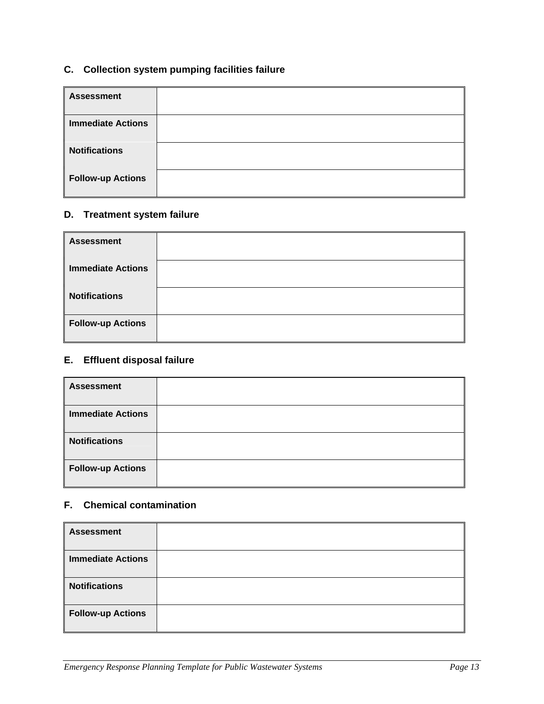### **C. Collection system pumping facilities failure**

| <b>Assessment</b>        |  |
|--------------------------|--|
| <b>Immediate Actions</b> |  |
| <b>Notifications</b>     |  |
| <b>Follow-up Actions</b> |  |

#### **D. Treatment system failure**

| <b>Assessment</b>        |  |
|--------------------------|--|
| <b>Immediate Actions</b> |  |
| <b>Notifications</b>     |  |
| <b>Follow-up Actions</b> |  |

### **E. Effluent disposal failure**

| <b>Assessment</b>        |  |
|--------------------------|--|
| <b>Immediate Actions</b> |  |
| <b>Notifications</b>     |  |
| <b>Follow-up Actions</b> |  |

#### **F. Chemical contamination**

| <b>Assessment</b>        |  |
|--------------------------|--|
| <b>Immediate Actions</b> |  |
| <b>Notifications</b>     |  |
| <b>Follow-up Actions</b> |  |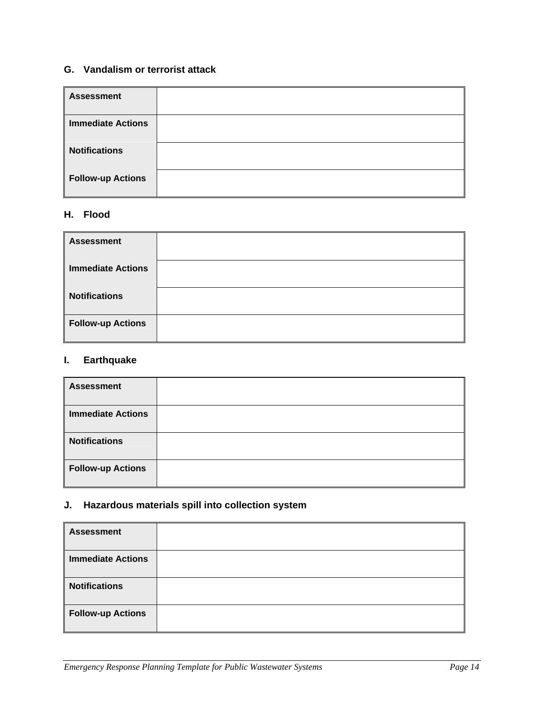### **G. Vandalism or terrorist attack**

| <b>Assessment</b>        |  |
|--------------------------|--|
| <b>Immediate Actions</b> |  |
| <b>Notifications</b>     |  |
| <b>Follow-up Actions</b> |  |

#### **H. Flood**

| <b>Assessment</b>        |  |
|--------------------------|--|
| <b>Immediate Actions</b> |  |
| <b>Notifications</b>     |  |
| <b>Follow-up Actions</b> |  |

### **I. Earthquake**

| <b>Assessment</b>        |  |
|--------------------------|--|
| <b>Immediate Actions</b> |  |
| <b>Notifications</b>     |  |
| <b>Follow-up Actions</b> |  |

### **J. Hazardous materials spill into collection system**

| <b>Assessment</b>        |  |
|--------------------------|--|
|                          |  |
| <b>Immediate Actions</b> |  |
|                          |  |
| <b>Notifications</b>     |  |
|                          |  |
| <b>Follow-up Actions</b> |  |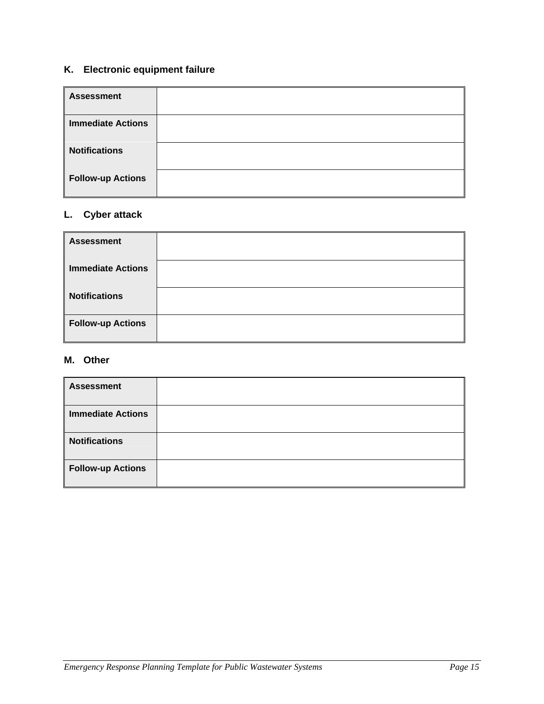### **K. Electronic equipment failure**

| <b>Assessment</b>        |  |
|--------------------------|--|
| <b>Immediate Actions</b> |  |
| <b>Notifications</b>     |  |
| <b>Follow-up Actions</b> |  |

### **L. Cyber attack**

| <b>Assessment</b>        |  |
|--------------------------|--|
| <b>Immediate Actions</b> |  |
| <b>Notifications</b>     |  |
| <b>Follow-up Actions</b> |  |

#### **M. Other**

| <b>Assessment</b>        |  |
|--------------------------|--|
| <b>Immediate Actions</b> |  |
| <b>Notifications</b>     |  |
| <b>Follow-up Actions</b> |  |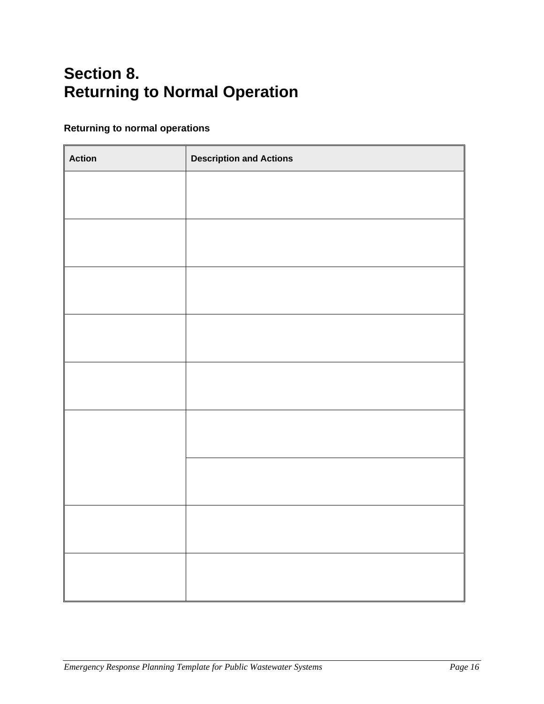# **Section 8. Returning to Normal Operation**

### **Returning to normal operations**

| <b>Action</b> | <b>Description and Actions</b> |
|---------------|--------------------------------|
|               |                                |
|               |                                |
|               |                                |
|               |                                |
|               |                                |
|               |                                |
|               |                                |
|               |                                |
|               |                                |
|               |                                |
|               |                                |
|               |                                |
|               |                                |
|               |                                |
|               |                                |
|               |                                |
|               |                                |
|               |                                |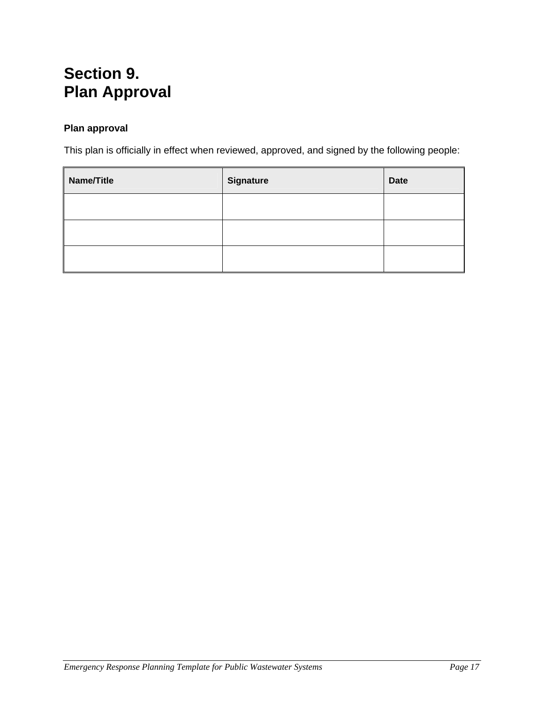# **Section 9. Plan Approval**

### **Plan approval**

This plan is officially in effect when reviewed, approved, and signed by the following people:

| Name/Title | <b>Signature</b> | <b>Date</b> |
|------------|------------------|-------------|
|            |                  |             |
|            |                  |             |
|            |                  |             |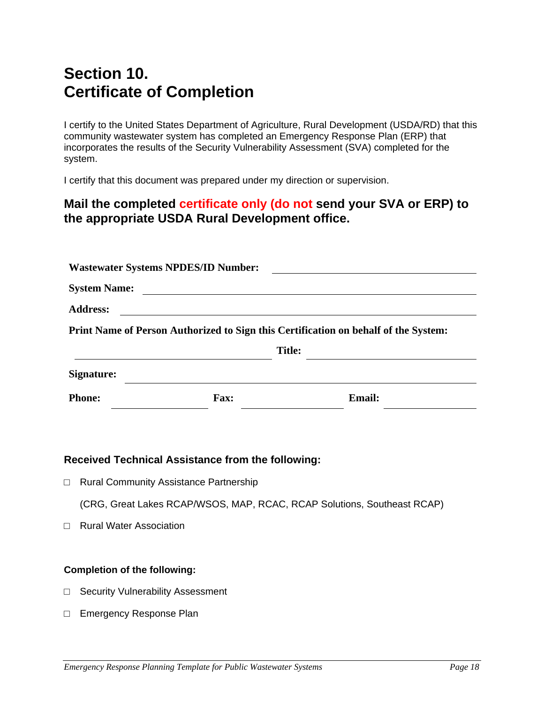# **Section 10. Certificate of Completion**

I certify to the United States Department of Agriculture, Rural Development (USDA/RD) that this community wastewater system has completed an Emergency Response Plan (ERP) that incorporates the results of the Security Vulnerability Assessment (SVA) completed for the system.

I certify that this document was prepared under my direction or supervision.

### **Mail the completed certificate only (do not send your SVA or ERP) to the appropriate USDA Rural Development office.**

|                     | <b>Wastewater Systems NPDES/ID Number:</b>                                          |               |  |
|---------------------|-------------------------------------------------------------------------------------|---------------|--|
| <b>System Name:</b> | <u> 1989 - John Stein, Amerikaansk politiker (* 1958)</u>                           |               |  |
| <b>Address:</b>     |                                                                                     |               |  |
|                     | Print Name of Person Authorized to Sign this Certification on behalf of the System: |               |  |
|                     | <b>Title:</b>                                                                       |               |  |
| Signature:          |                                                                                     |               |  |
| <b>Phone:</b>       | <b>Fax:</b>                                                                         | <b>Email:</b> |  |

#### **Received Technical Assistance from the following:**

□ Rural Community Assistance Partnership

(CRG, Great Lakes RCAP/WSOS, MAP, RCAC, RCAP Solutions, Southeast RCAP)

□ Rural Water Association

#### **Completion of the following:**

- □ Security Vulnerability Assessment
- □ Emergency Response Plan